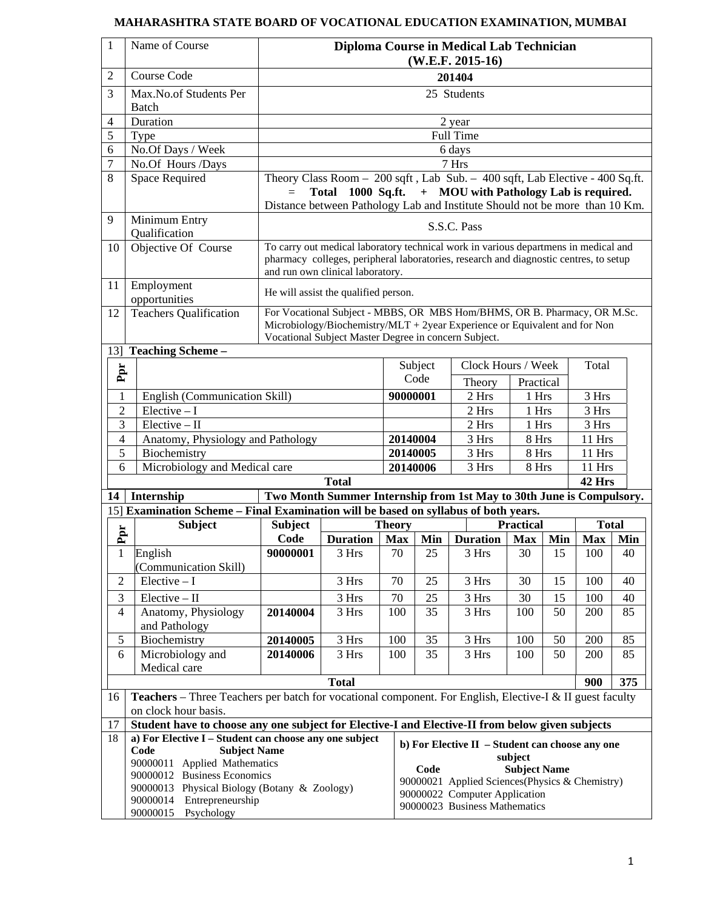### **MAHARASHTRA STATE BOARD OF VOCATIONAL EDUCATION EXAMINATION, MUMBAI**

| $\mathbf{1}$                                 | Name of Course                                                                                                                          | Diploma Course in Medical Lab Technician<br>$(W.E.F. 2015-16)$                                                                                                                                                                            |                                                                                                                                                                                                                  |                             |                                                                                 |                    |                  |        |              |     |
|----------------------------------------------|-----------------------------------------------------------------------------------------------------------------------------------------|-------------------------------------------------------------------------------------------------------------------------------------------------------------------------------------------------------------------------------------------|------------------------------------------------------------------------------------------------------------------------------------------------------------------------------------------------------------------|-----------------------------|---------------------------------------------------------------------------------|--------------------|------------------|--------|--------------|-----|
| 2                                            | <b>Course Code</b>                                                                                                                      | 201404                                                                                                                                                                                                                                    |                                                                                                                                                                                                                  |                             |                                                                                 |                    |                  |        |              |     |
| 3                                            | Max.No.of Students Per<br><b>Batch</b>                                                                                                  | 25 Students                                                                                                                                                                                                                               |                                                                                                                                                                                                                  |                             |                                                                                 |                    |                  |        |              |     |
| 4                                            | Duration                                                                                                                                |                                                                                                                                                                                                                                           |                                                                                                                                                                                                                  |                             |                                                                                 | 2 year             |                  |        |              |     |
| 5                                            | Type                                                                                                                                    |                                                                                                                                                                                                                                           |                                                                                                                                                                                                                  |                             |                                                                                 | <b>Full Time</b>   |                  |        |              |     |
| 6                                            | No.Of Days / Week                                                                                                                       |                                                                                                                                                                                                                                           |                                                                                                                                                                                                                  |                             |                                                                                 | 6 days             |                  |        |              |     |
| $\overline{7}$                               | No.Of Hours /Days                                                                                                                       |                                                                                                                                                                                                                                           |                                                                                                                                                                                                                  |                             |                                                                                 | 7 Hrs              |                  |        |              |     |
| 8                                            | <b>Space Required</b>                                                                                                                   | Theory Class Room - 200 sqft, Lab Sub. - 400 sqft, Lab Elective - 400 Sq.ft.<br>1000 Sq.ft. $+$ MOU with Pathology Lab is required.<br><b>Total</b><br>$=$<br>Distance between Pathology Lab and Institute Should not be more than 10 Km. |                                                                                                                                                                                                                  |                             |                                                                                 |                    |                  |        |              |     |
| 9                                            | Minimum Entry<br>Qualification                                                                                                          | S.S.C. Pass                                                                                                                                                                                                                               |                                                                                                                                                                                                                  |                             |                                                                                 |                    |                  |        |              |     |
| 10                                           | Objective Of Course                                                                                                                     |                                                                                                                                                                                                                                           | To carry out medical laboratory technical work in various departmens in medical and<br>pharmacy colleges, peripheral laboratories, research and diagnostic centres, to setup<br>and run own clinical laboratory. |                             |                                                                                 |                    |                  |        |              |     |
| 11                                           | Employment<br>opportunities                                                                                                             |                                                                                                                                                                                                                                           | He will assist the qualified person.                                                                                                                                                                             |                             |                                                                                 |                    |                  |        |              |     |
| 12                                           | <b>Teachers Qualification</b>                                                                                                           |                                                                                                                                                                                                                                           | For Vocational Subject - MBBS, OR MBS Hom/BHMS, OR B. Pharmacy, OR M.Sc.<br>Microbiology/Biochemistry/MLT + 2year Experience or Equivalent and for Non<br>Vocational Subject Master Degree in concern Subject.   |                             |                                                                                 |                    |                  |        |              |     |
|                                              | 13] Teaching Scheme -                                                                                                                   |                                                                                                                                                                                                                                           |                                                                                                                                                                                                                  |                             |                                                                                 |                    |                  |        |              |     |
| Ppr                                          |                                                                                                                                         |                                                                                                                                                                                                                                           |                                                                                                                                                                                                                  |                             | Subject                                                                         | Clock Hours / Week |                  |        | Total        |     |
|                                              |                                                                                                                                         |                                                                                                                                                                                                                                           |                                                                                                                                                                                                                  |                             | Code                                                                            | Theory             | Practical        |        |              |     |
| 1                                            | English (Communication Skill)                                                                                                           |                                                                                                                                                                                                                                           |                                                                                                                                                                                                                  |                             | 90000001                                                                        | 2 Hrs              | 1 Hrs            |        | 3 Hrs        |     |
| 2                                            | $Elective - I$                                                                                                                          |                                                                                                                                                                                                                                           |                                                                                                                                                                                                                  |                             |                                                                                 | 2 Hrs              | 1 Hrs            |        | 3 Hrs        |     |
| 3                                            | $\overline{\text{Electric}} - \text{II}$                                                                                                |                                                                                                                                                                                                                                           |                                                                                                                                                                                                                  |                             | 2 Hrs                                                                           | 1 Hrs              |                  | 3 Hrs  |              |     |
|                                              | 4<br>Anatomy, Physiology and Pathology                                                                                                  |                                                                                                                                                                                                                                           |                                                                                                                                                                                                                  |                             | 3 Hrs<br>20140004                                                               |                    | 8 Hrs            |        | 11 Hrs       |     |
| 5<br>Biochemistry                            |                                                                                                                                         | 20140005                                                                                                                                                                                                                                  |                                                                                                                                                                                                                  | 3 Hrs                       | 8 Hrs                                                                           |                    | 11 Hrs           |        |              |     |
|                                              | Microbiology and Medical care<br>6                                                                                                      |                                                                                                                                                                                                                                           |                                                                                                                                                                                                                  | 20140006                    | 3 Hrs                                                                           | 8 Hrs              |                  | 11 Hrs |              |     |
|                                              |                                                                                                                                         |                                                                                                                                                                                                                                           | <b>Total</b>                                                                                                                                                                                                     |                             |                                                                                 |                    |                  |        | 42 Hrs       |     |
| 14                                           | Internship                                                                                                                              |                                                                                                                                                                                                                                           | Two Month Summer Internship from 1st May to 30th June is Compulsory.                                                                                                                                             |                             |                                                                                 |                    |                  |        |              |     |
|                                              | 15] Examination Scheme - Final Examination will be based on syllabus of both years.                                                     |                                                                                                                                                                                                                                           |                                                                                                                                                                                                                  |                             |                                                                                 |                    | <b>Practical</b> |        | <b>Total</b> |     |
| Ppr                                          | <b>Subject</b>                                                                                                                          | <b>Subject</b><br>Code                                                                                                                                                                                                                    | <b>Duration</b>                                                                                                                                                                                                  | <b>Theory</b><br><b>Max</b> | Min                                                                             | <b>Duration</b>    | <b>Max</b>       | Min    | <b>Max</b>   | Min |
| $\mathbf{1}$                                 | English                                                                                                                                 | 90000001                                                                                                                                                                                                                                  | 3 Hrs                                                                                                                                                                                                            | 70                          | 25                                                                              | 3 Hrs              | 30               | 15     | 100          | 40  |
|                                              | (Communication Skill)                                                                                                                   |                                                                                                                                                                                                                                           |                                                                                                                                                                                                                  |                             |                                                                                 |                    |                  |        |              |     |
| $\mathfrak{2}$                               | $Elective - I$                                                                                                                          |                                                                                                                                                                                                                                           | 3 Hrs                                                                                                                                                                                                            | 70                          | 25                                                                              | 3 Hrs              | 30               | 15     | 100          | 40  |
| 3                                            | $Elective - II$                                                                                                                         |                                                                                                                                                                                                                                           | 3 Hrs                                                                                                                                                                                                            | 70                          | 25                                                                              | 3 Hrs              | 30               | 15     | 100          | 40  |
| $\overline{4}$                               | Anatomy, Physiology                                                                                                                     | 20140004                                                                                                                                                                                                                                  | 3 Hrs                                                                                                                                                                                                            | 100                         | 35                                                                              | $3\ \mathrm{Hrs}$  | 100              | 50     | 200          | 85  |
|                                              | and Pathology                                                                                                                           |                                                                                                                                                                                                                                           |                                                                                                                                                                                                                  |                             |                                                                                 |                    |                  |        |              |     |
| 5                                            | Biochemistry                                                                                                                            | 20140005                                                                                                                                                                                                                                  | 3 Hrs                                                                                                                                                                                                            | 100                         | 35                                                                              | $3\ \mathrm{Hrs}$  | 100              | 50     | 200          | 85  |
| 6                                            | Microbiology and                                                                                                                        | 20140006                                                                                                                                                                                                                                  | 3 Hrs                                                                                                                                                                                                            | 100                         | 35                                                                              | 3 Hrs              | 100              | 50     | 200          | 85  |
|                                              | Medical care                                                                                                                            |                                                                                                                                                                                                                                           |                                                                                                                                                                                                                  |                             |                                                                                 |                    |                  |        |              |     |
| <b>Total</b>                                 |                                                                                                                                         | 375<br>900                                                                                                                                                                                                                                |                                                                                                                                                                                                                  |                             |                                                                                 |                    |                  |        |              |     |
| 16                                           | <b>Teachers</b> – Three Teachers per batch for vocational component. For English, Elective-I & II guest faculty<br>on clock hour basis. |                                                                                                                                                                                                                                           |                                                                                                                                                                                                                  |                             |                                                                                 |                    |                  |        |              |     |
| 17                                           | Student have to choose any one subject for Elective-I and Elective-II from below given subjects                                         |                                                                                                                                                                                                                                           |                                                                                                                                                                                                                  |                             |                                                                                 |                    |                  |        |              |     |
| 18                                           |                                                                                                                                         | a) For Elective I - Student can choose any one subject<br>b) For Elective II - Student can choose any one                                                                                                                                 |                                                                                                                                                                                                                  |                             |                                                                                 |                    |                  |        |              |     |
|                                              | Code<br><b>Subject Name</b><br>90000011 Applied Mathematics                                                                             |                                                                                                                                                                                                                                           |                                                                                                                                                                                                                  | subject                     |                                                                                 |                    |                  |        |              |     |
|                                              | 90000012 Business Economics                                                                                                             |                                                                                                                                                                                                                                           |                                                                                                                                                                                                                  |                             | Code<br><b>Subject Name</b>                                                     |                    |                  |        |              |     |
| 90000013 Physical Biology (Botany & Zoology) |                                                                                                                                         |                                                                                                                                                                                                                                           |                                                                                                                                                                                                                  |                             | 90000021 Applied Sciences(Physics & Chemistry)<br>90000022 Computer Application |                    |                  |        |              |     |
| 90000014 Entrepreneurship                    |                                                                                                                                         |                                                                                                                                                                                                                                           |                                                                                                                                                                                                                  |                             | 90000023 Business Mathematics                                                   |                    |                  |        |              |     |
| 90000015 Psychology                          |                                                                                                                                         |                                                                                                                                                                                                                                           |                                                                                                                                                                                                                  |                             |                                                                                 |                    |                  |        |              |     |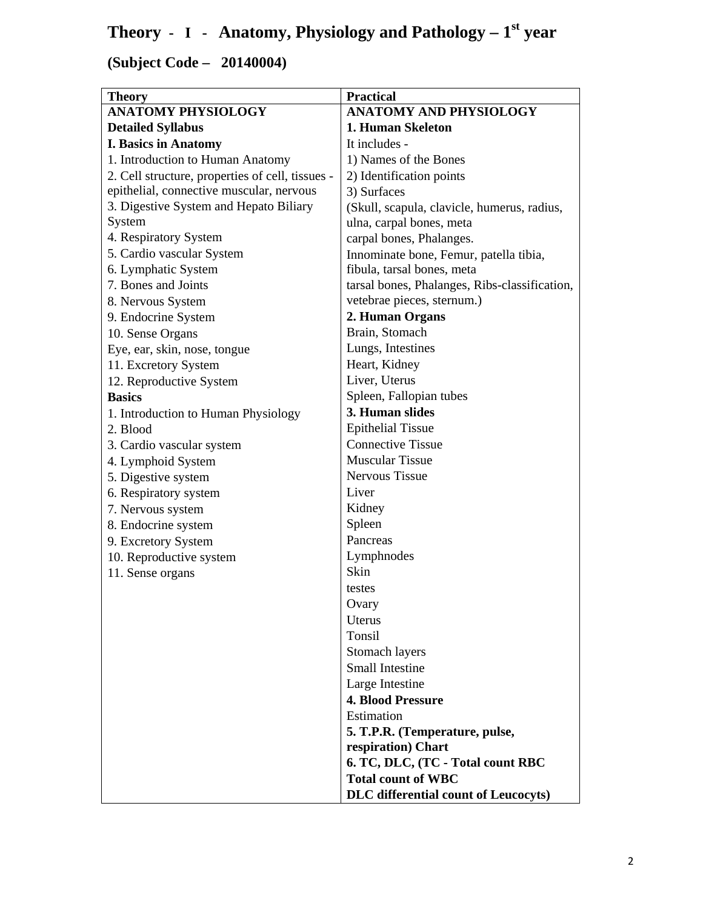## **Theory - I - Anatomy, Physiology and Pathology – 1st year**

| <b>Theory</b>                                    | <b>Practical</b>                              |
|--------------------------------------------------|-----------------------------------------------|
| <b>ANATOMY PHYSIOLOGY</b>                        | <b>ANATOMY AND PHYSIOLOGY</b>                 |
| <b>Detailed Syllabus</b>                         | 1. Human Skeleton                             |
| <b>I. Basics in Anatomy</b>                      | It includes -                                 |
| 1. Introduction to Human Anatomy                 | 1) Names of the Bones                         |
| 2. Cell structure, properties of cell, tissues - | 2) Identification points                      |
| epithelial, connective muscular, nervous         | 3) Surfaces                                   |
| 3. Digestive System and Hepato Biliary           | (Skull, scapula, clavicle, humerus, radius,   |
| System                                           | ulna, carpal bones, meta                      |
| 4. Respiratory System                            | carpal bones, Phalanges.                      |
| 5. Cardio vascular System                        | Innominate bone, Femur, patella tibia,        |
| 6. Lymphatic System                              | fibula, tarsal bones, meta                    |
| 7. Bones and Joints                              | tarsal bones, Phalanges, Ribs-classification, |
| 8. Nervous System                                | vetebrae pieces, sternum.)                    |
| 9. Endocrine System                              | 2. Human Organs                               |
| 10. Sense Organs                                 | Brain, Stomach                                |
| Eye, ear, skin, nose, tongue                     | Lungs, Intestines                             |
| 11. Excretory System                             | Heart, Kidney                                 |
| 12. Reproductive System                          | Liver, Uterus                                 |
| <b>Basics</b>                                    | Spleen, Fallopian tubes                       |
| 1. Introduction to Human Physiology              | 3. Human slides                               |
| 2. Blood                                         | <b>Epithelial Tissue</b>                      |
| 3. Cardio vascular system                        | <b>Connective Tissue</b>                      |
| 4. Lymphoid System                               | <b>Muscular Tissue</b>                        |
| 5. Digestive system                              | <b>Nervous Tissue</b>                         |
| 6. Respiratory system                            | Liver                                         |
| 7. Nervous system                                | Kidney                                        |
| 8. Endocrine system                              | Spleen                                        |
| 9. Excretory System                              | Pancreas                                      |
| 10. Reproductive system                          | Lymphnodes                                    |
| 11. Sense organs                                 | Skin                                          |
|                                                  | testes                                        |
|                                                  | Ovary                                         |
|                                                  | Uterus                                        |
|                                                  | Tonsil                                        |
|                                                  |                                               |
|                                                  | Stomach layers<br><b>Small Intestine</b>      |
|                                                  |                                               |
|                                                  | Large Intestine                               |
|                                                  | <b>4. Blood Pressure</b>                      |
|                                                  | Estimation                                    |
|                                                  | 5. T.P.R. (Temperature, pulse,                |
|                                                  | respiration) Chart                            |
|                                                  | 6. TC, DLC, (TC - Total count RBC             |
|                                                  | <b>Total count of WBC</b>                     |
|                                                  | <b>DLC</b> differential count of Leucocyts)   |

**(Subject Code – 20140004)**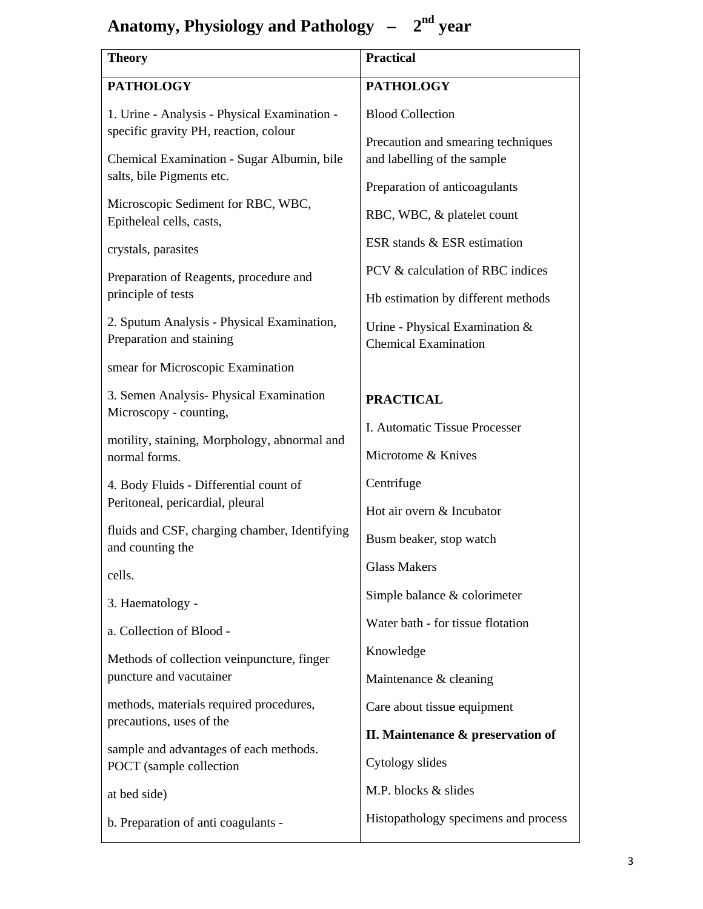## Anatomy, Physiology and Pathology –  $2<sup>nd</sup>$  year

| <b>Theory</b>                                                                         | <b>Practical</b>                                                  |  |
|---------------------------------------------------------------------------------------|-------------------------------------------------------------------|--|
| <b>PATHOLOGY</b>                                                                      | <b>PATHOLOGY</b>                                                  |  |
| 1. Urine - Analysis - Physical Examination -<br>specific gravity PH, reaction, colour | <b>Blood Collection</b>                                           |  |
| Chemical Examination - Sugar Albumin, bile<br>salts, bile Pigments etc.               | Precaution and smearing techniques<br>and labelling of the sample |  |
|                                                                                       | Preparation of anticoagulants                                     |  |
| Microscopic Sediment for RBC, WBC,<br>Epitheleal cells, casts,                        | RBC, WBC, & platelet count                                        |  |
| crystals, parasites                                                                   | ESR stands & ESR estimation                                       |  |
| Preparation of Reagents, procedure and                                                | PCV & calculation of RBC indices                                  |  |
| principle of tests                                                                    | Hb estimation by different methods                                |  |
| 2. Sputum Analysis - Physical Examination,<br>Preparation and staining                | Urine - Physical Examination &<br><b>Chemical Examination</b>     |  |
| smear for Microscopic Examination                                                     |                                                                   |  |
| 3. Semen Analysis- Physical Examination<br>Microscopy - counting,                     | <b>PRACTICAL</b>                                                  |  |
| motility, staining, Morphology, abnormal and                                          | I. Automatic Tissue Processer                                     |  |
| normal forms.                                                                         | Microtome & Knives                                                |  |
| 4. Body Fluids - Differential count of                                                | Centrifuge                                                        |  |
| Peritoneal, pericardial, pleural                                                      | Hot air overn & Incubator                                         |  |
| fluids and CSF, charging chamber, Identifying<br>and counting the                     | Busm beaker, stop watch                                           |  |
| cells.                                                                                | <b>Glass Makers</b>                                               |  |
| 3. Haematology -                                                                      | Simple balance & colorimeter                                      |  |
| a. Collection of Blood -                                                              | Water bath - for tissue flotation                                 |  |
| Methods of collection veinpuncture, finger                                            | Knowledge                                                         |  |
| puncture and vacutainer                                                               | Maintenance & cleaning                                            |  |
| methods, materials required procedures,                                               | Care about tissue equipment                                       |  |
| precautions, uses of the                                                              | II. Maintenance & preservation of                                 |  |
| sample and advantages of each methods.<br>POCT (sample collection                     | Cytology slides                                                   |  |
| at bed side)                                                                          | M.P. blocks & slides                                              |  |
| b. Preparation of anti coagulants -                                                   | Histopathology specimens and process                              |  |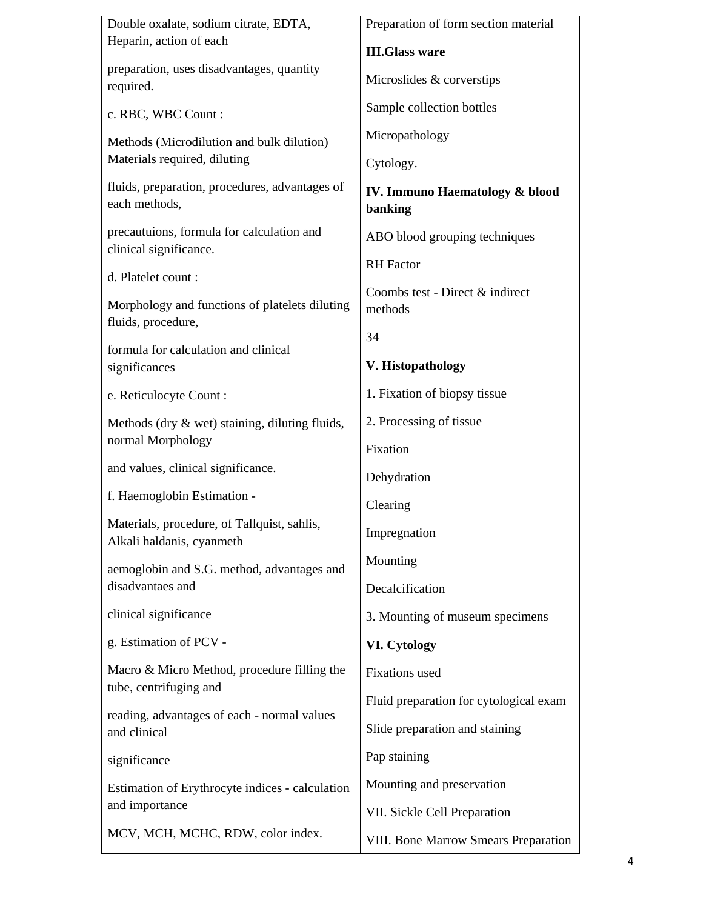| Double oxalate, sodium citrate, EDTA,                                    | Preparation of form section material       |  |
|--------------------------------------------------------------------------|--------------------------------------------|--|
| Heparin, action of each                                                  | <b>III.Glass ware</b>                      |  |
| preparation, uses disadvantages, quantity<br>required.                   | Microslides & corverstips                  |  |
| c. RBC, WBC Count:                                                       | Sample collection bottles                  |  |
| Methods (Microdilution and bulk dilution)                                | Micropathology                             |  |
| Materials required, diluting                                             | Cytology.                                  |  |
| fluids, preparation, procedures, advantages of<br>each methods,          | IV. Immuno Haematology & blood<br>banking  |  |
| precautuions, formula for calculation and<br>clinical significance.      | ABO blood grouping techniques              |  |
| d. Platelet count:                                                       | <b>RH</b> Factor                           |  |
| Morphology and functions of platelets diluting                           | Coombs test - Direct & indirect<br>methods |  |
| fluids, procedure,                                                       | 34                                         |  |
| formula for calculation and clinical<br>significances                    | V. Histopathology                          |  |
| e. Reticulocyte Count:                                                   | 1. Fixation of biopsy tissue               |  |
| Methods (dry $\&$ wet) staining, diluting fluids,                        | 2. Processing of tissue                    |  |
| normal Morphology                                                        | Fixation                                   |  |
| and values, clinical significance.                                       | Dehydration                                |  |
| f. Haemoglobin Estimation -                                              | Clearing                                   |  |
| Materials, procedure, of Tallquist, sahlis,<br>Alkali haldanis, cyanmeth | Impregnation                               |  |
| aemoglobin and S.G. method, advantages and                               | Mounting                                   |  |
| disadvantaes and                                                         | Decalcification                            |  |
| clinical significance                                                    | 3. Mounting of museum specimens            |  |
| g. Estimation of PCV -                                                   | <b>VI.</b> Cytology                        |  |
| Macro & Micro Method, procedure filling the<br>tube, centrifuging and    | <b>Fixations</b> used                      |  |
| reading, advantages of each - normal values                              | Fluid preparation for cytological exam     |  |
| and clinical                                                             | Slide preparation and staining             |  |
| significance                                                             | Pap staining                               |  |
| Estimation of Erythrocyte indices - calculation                          | Mounting and preservation                  |  |
| and importance                                                           | VII. Sickle Cell Preparation               |  |
| MCV, MCH, MCHC, RDW, color index.                                        | VIII. Bone Marrow Smears Preparation       |  |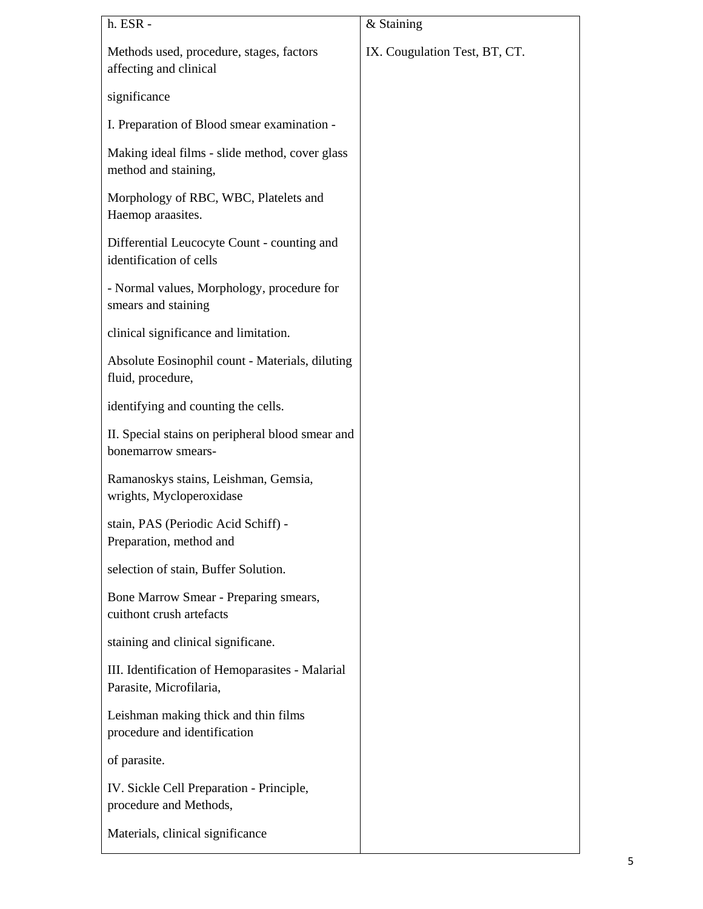| h. ESR -                                                                   | & Staining                    |
|----------------------------------------------------------------------------|-------------------------------|
| Methods used, procedure, stages, factors<br>affecting and clinical         | IX. Cougulation Test, BT, CT. |
| significance                                                               |                               |
| I. Preparation of Blood smear examination -                                |                               |
| Making ideal films - slide method, cover glass<br>method and staining,     |                               |
| Morphology of RBC, WBC, Platelets and<br>Haemop araasites.                 |                               |
| Differential Leucocyte Count - counting and<br>identification of cells     |                               |
| - Normal values, Morphology, procedure for<br>smears and staining          |                               |
| clinical significance and limitation.                                      |                               |
| Absolute Eosinophil count - Materials, diluting<br>fluid, procedure,       |                               |
| identifying and counting the cells.                                        |                               |
| II. Special stains on peripheral blood smear and<br>bonemarrow smears-     |                               |
| Ramanoskys stains, Leishman, Gemsia,<br>wrights, Mycloperoxidase           |                               |
| stain, PAS (Periodic Acid Schiff) -<br>Preparation, method and             |                               |
| selection of stain, Buffer Solution.                                       |                               |
| Bone Marrow Smear - Preparing smears,<br>cuithont crush artefacts          |                               |
| staining and clinical significane.                                         |                               |
| III. Identification of Hemoparasites - Malarial<br>Parasite, Microfilaria, |                               |
| Leishman making thick and thin films<br>procedure and identification       |                               |
| of parasite.                                                               |                               |
| IV. Sickle Cell Preparation - Principle,<br>procedure and Methods,         |                               |
| Materials, clinical significance                                           |                               |
|                                                                            |                               |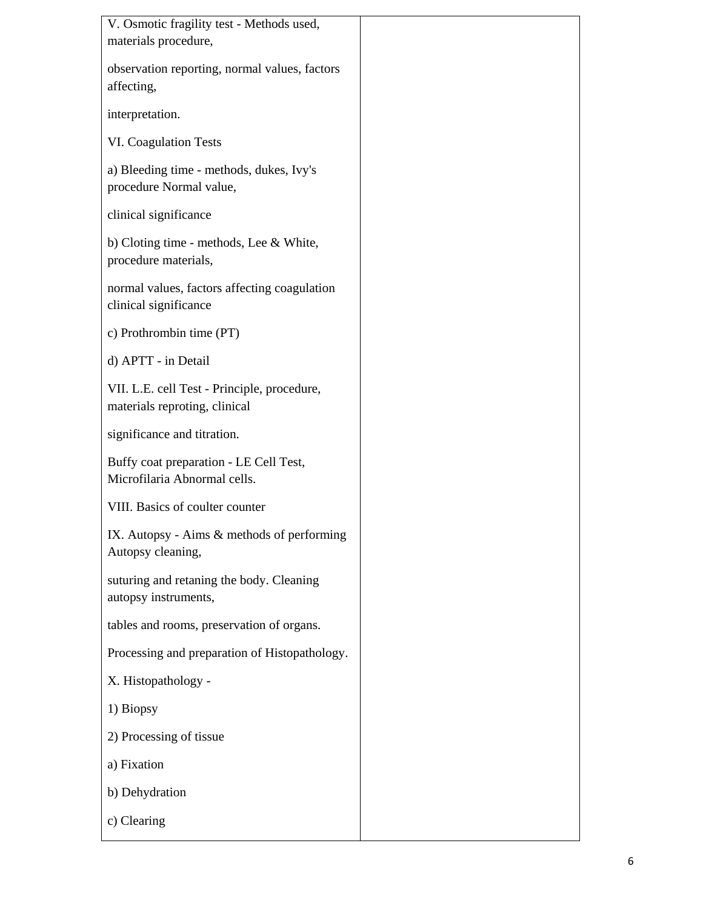| V. Osmotic fragility test - Methods used,                                    |  |
|------------------------------------------------------------------------------|--|
| materials procedure,                                                         |  |
| observation reporting, normal values, factors<br>affecting,                  |  |
| interpretation.                                                              |  |
| <b>VI. Coagulation Tests</b>                                                 |  |
| a) Bleeding time - methods, dukes, Ivy's<br>procedure Normal value,          |  |
| clinical significance                                                        |  |
| b) Cloting time - methods, Lee & White,<br>procedure materials,              |  |
| normal values, factors affecting coagulation<br>clinical significance        |  |
| c) Prothrombin time (PT)                                                     |  |
| d) APTT - in Detail                                                          |  |
| VII. L.E. cell Test - Principle, procedure,<br>materials reproting, clinical |  |
| significance and titration.                                                  |  |
| Buffy coat preparation - LE Cell Test,<br>Microfilaria Abnormal cells.       |  |
| VIII. Basics of coulter counter                                              |  |
| IX. Autopsy - Aims & methods of performing<br>Autopsy cleaning,              |  |
| suturing and retaning the body. Cleaning<br>autopsy instruments,             |  |
| tables and rooms, preservation of organs.                                    |  |
| Processing and preparation of Histopathology.                                |  |
| X. Histopathology -                                                          |  |
| 1) Biopsy                                                                    |  |
| 2) Processing of tissue                                                      |  |
| a) Fixation                                                                  |  |
| b) Dehydration                                                               |  |
| c) Clearing                                                                  |  |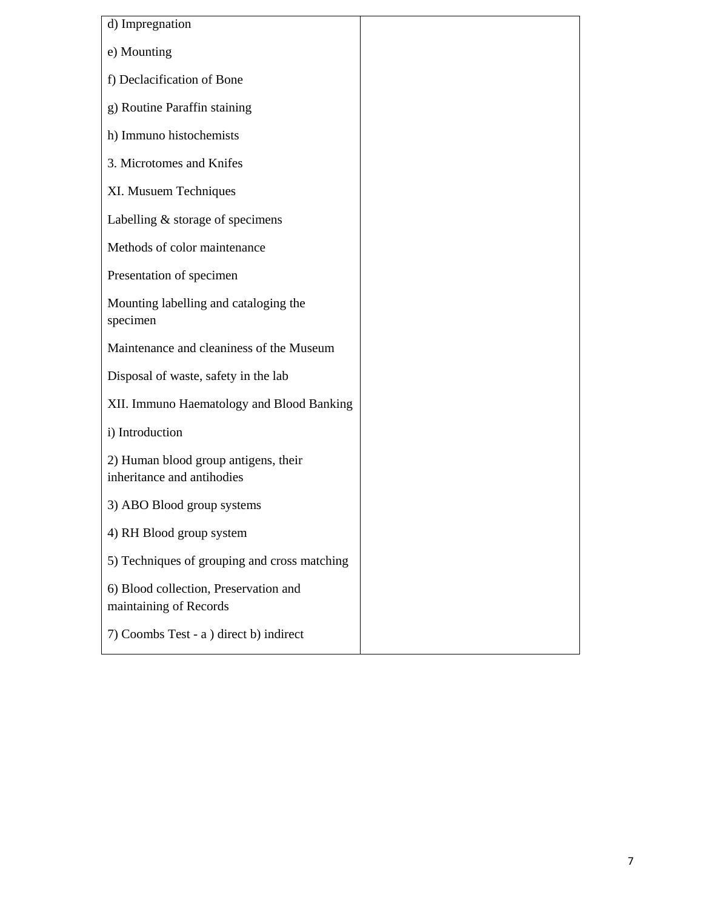| d) Impregnation                                                    |  |  |  |
|--------------------------------------------------------------------|--|--|--|
| e) Mounting                                                        |  |  |  |
| f) Declacification of Bone                                         |  |  |  |
| g) Routine Paraffin staining                                       |  |  |  |
| h) Immuno histochemists                                            |  |  |  |
| 3. Microtomes and Knifes                                           |  |  |  |
| XI. Musuem Techniques                                              |  |  |  |
| Labelling $&$ storage of specimens                                 |  |  |  |
| Methods of color maintenance                                       |  |  |  |
| Presentation of specimen                                           |  |  |  |
| Mounting labelling and cataloging the<br>specimen                  |  |  |  |
| Maintenance and cleaniness of the Museum                           |  |  |  |
| Disposal of waste, safety in the lab                               |  |  |  |
| XII. Immuno Haematology and Blood Banking                          |  |  |  |
| i) Introduction                                                    |  |  |  |
| 2) Human blood group antigens, their<br>inheritance and antihodies |  |  |  |
| 3) ABO Blood group systems                                         |  |  |  |
| 4) RH Blood group system                                           |  |  |  |
| 5) Techniques of grouping and cross matching                       |  |  |  |
| 6) Blood collection, Preservation and<br>maintaining of Records    |  |  |  |
| 7) Coombs Test - a ) direct b) indirect                            |  |  |  |
|                                                                    |  |  |  |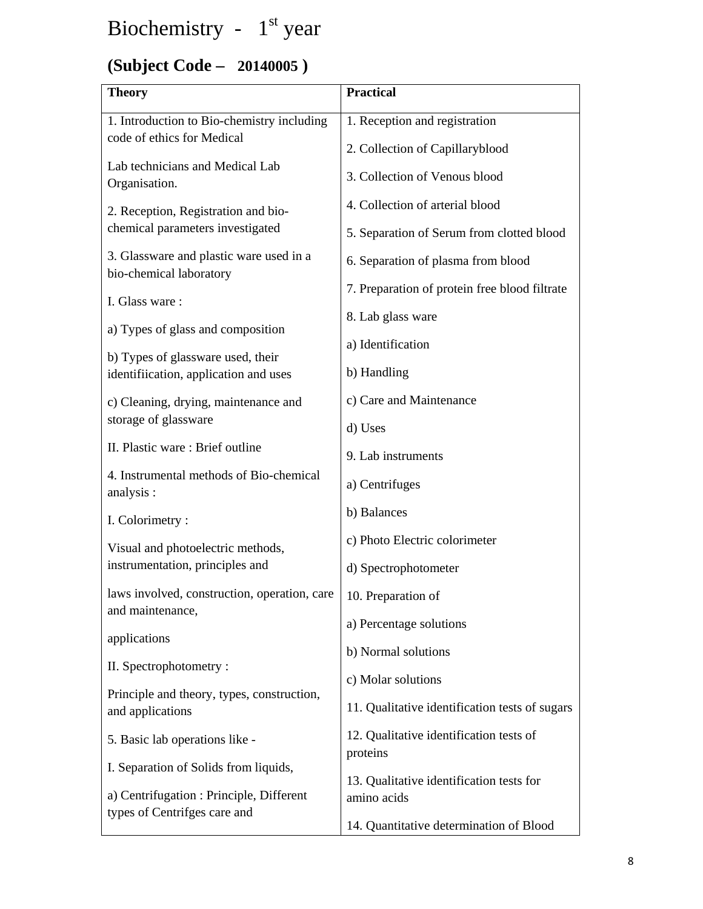# Biochemistry -  $1<sup>st</sup>$  year

## **(Subject Code – 20140005 )**

| <b>Theory</b>                                                              | <b>Practical</b>                                    |  |
|----------------------------------------------------------------------------|-----------------------------------------------------|--|
| 1. Introduction to Bio-chemistry including                                 | 1. Reception and registration                       |  |
| code of ethics for Medical                                                 | 2. Collection of Capillaryblood                     |  |
| Lab technicians and Medical Lab<br>Organisation.                           | 3. Collection of Venous blood                       |  |
| 2. Reception, Registration and bio-                                        | 4. Collection of arterial blood                     |  |
| chemical parameters investigated                                           | 5. Separation of Serum from clotted blood           |  |
| 3. Glassware and plastic ware used in a                                    | 6. Separation of plasma from blood                  |  |
| bio-chemical laboratory                                                    | 7. Preparation of protein free blood filtrate       |  |
| I. Glass ware:                                                             | 8. Lab glass ware                                   |  |
| a) Types of glass and composition                                          | a) Identification                                   |  |
| b) Types of glassware used, their<br>identifiication, application and uses | b) Handling                                         |  |
| c) Cleaning, drying, maintenance and                                       | c) Care and Maintenance                             |  |
| storage of glassware                                                       | d) Uses                                             |  |
| II. Plastic ware: Brief outline                                            | 9. Lab instruments                                  |  |
| 4. Instrumental methods of Bio-chemical<br>analysis :                      | a) Centrifuges                                      |  |
| I. Colorimetry:                                                            | b) Balances                                         |  |
| Visual and photoelectric methods,                                          | c) Photo Electric colorimeter                       |  |
| instrumentation, principles and                                            | d) Spectrophotometer                                |  |
| laws involved, construction, operation, care                               | 10. Preparation of                                  |  |
| and maintenance,                                                           | a) Percentage solutions                             |  |
| applications                                                               | b) Normal solutions                                 |  |
| II. Spectrophotometry:                                                     | c) Molar solutions                                  |  |
| Principle and theory, types, construction,<br>and applications             | 11. Qualitative identification tests of sugars      |  |
| 5. Basic lab operations like -                                             | 12. Qualitative identification tests of<br>proteins |  |
| I. Separation of Solids from liquids,                                      | 13. Qualitative identification tests for            |  |
| a) Centrifugation : Principle, Different                                   | amino acids                                         |  |
| types of Centrifges care and                                               | 14. Quantitative determination of Blood             |  |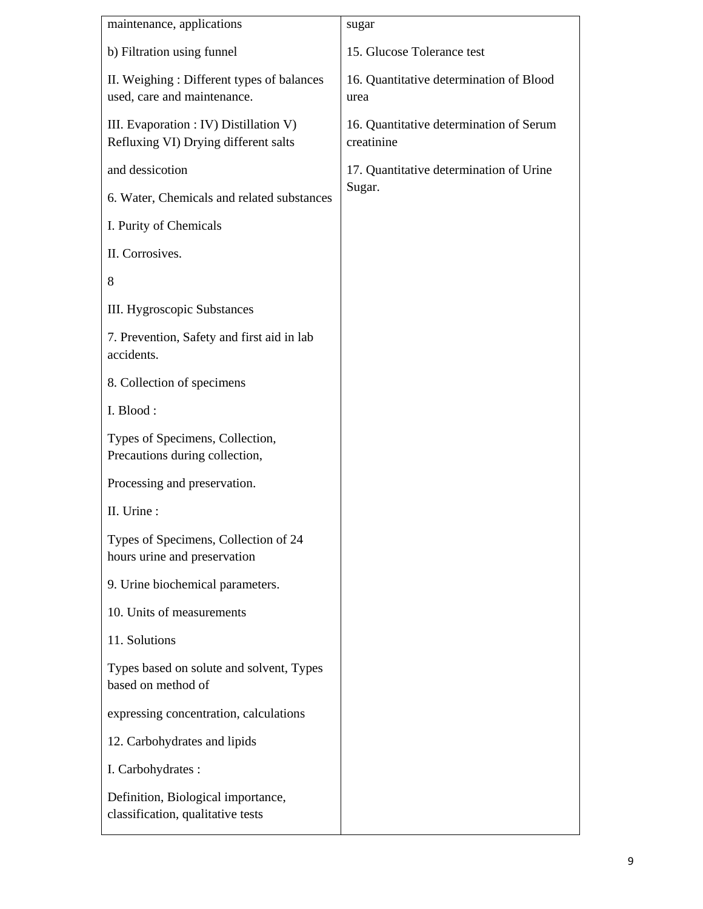| maintenance, applications                                                      | sugar                                                 |
|--------------------------------------------------------------------------------|-------------------------------------------------------|
| b) Filtration using funnel                                                     | 15. Glucose Tolerance test                            |
| II. Weighing: Different types of balances<br>used, care and maintenance.       | 16. Quantitative determination of Blood<br>urea       |
| III. Evaporation : IV) Distillation V)<br>Refluxing VI) Drying different salts | 16. Quantitative determination of Serum<br>creatinine |
| and dessicotion                                                                | 17. Quantitative determination of Urine               |
| 6. Water, Chemicals and related substances                                     | Sugar.                                                |
| I. Purity of Chemicals                                                         |                                                       |
| II. Corrosives.                                                                |                                                       |
| 8                                                                              |                                                       |
| <b>III.</b> Hygroscopic Substances                                             |                                                       |
| 7. Prevention, Safety and first aid in lab<br>accidents.                       |                                                       |
| 8. Collection of specimens                                                     |                                                       |
| I. Blood:                                                                      |                                                       |
| Types of Specimens, Collection,<br>Precautions during collection,              |                                                       |
| Processing and preservation.                                                   |                                                       |
| II. Urine:                                                                     |                                                       |
| Types of Specimens, Collection of 24<br>hours urine and preservation           |                                                       |
| 9. Urine biochemical parameters.                                               |                                                       |
| 10. Units of measurements                                                      |                                                       |
| 11. Solutions                                                                  |                                                       |
| Types based on solute and solvent, Types<br>based on method of                 |                                                       |
| expressing concentration, calculations                                         |                                                       |
| 12. Carbohydrates and lipids                                                   |                                                       |
| I. Carbohydrates :                                                             |                                                       |
| Definition, Biological importance,<br>classification, qualitative tests        |                                                       |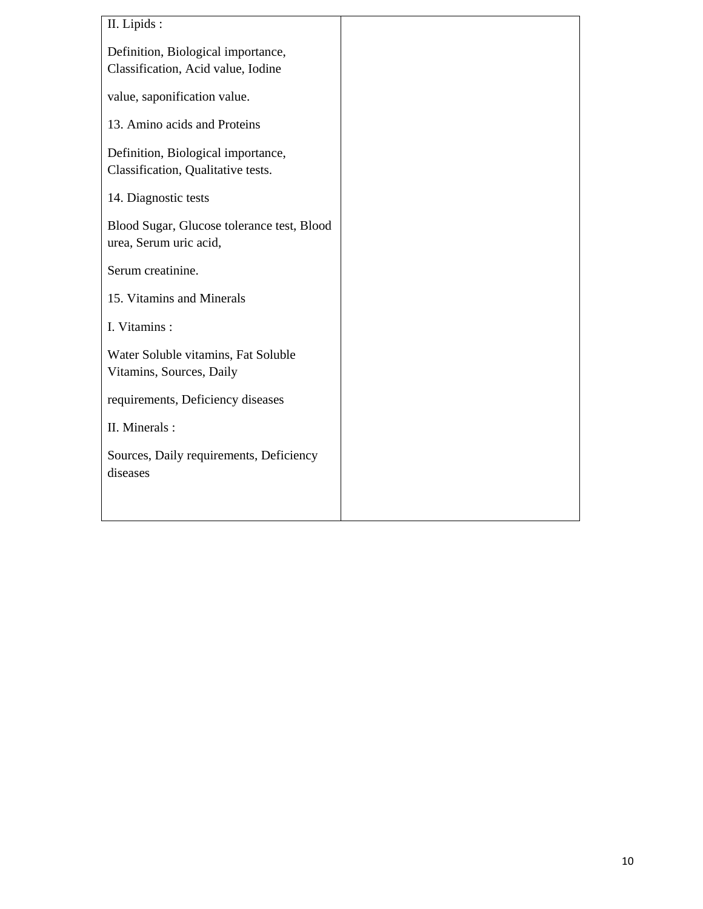| II. Lipids:                                |
|--------------------------------------------|
| Definition, Biological importance,         |
| Classification, Acid value, Iodine         |
| value, saponification value.               |
| 13. Amino acids and Proteins               |
| Definition, Biological importance,         |
| Classification, Qualitative tests.         |
| 14. Diagnostic tests                       |
| Blood Sugar, Glucose tolerance test, Blood |
| urea, Serum uric acid,                     |
| Serum creatinine.                          |
| 15. Vitamins and Minerals                  |
| I. Vitamins :                              |
| Water Soluble vitamins, Fat Soluble        |
| Vitamins, Sources, Daily                   |
| requirements, Deficiency diseases          |
| II. Minerals :                             |
| Sources, Daily requirements, Deficiency    |
| diseases                                   |
|                                            |
|                                            |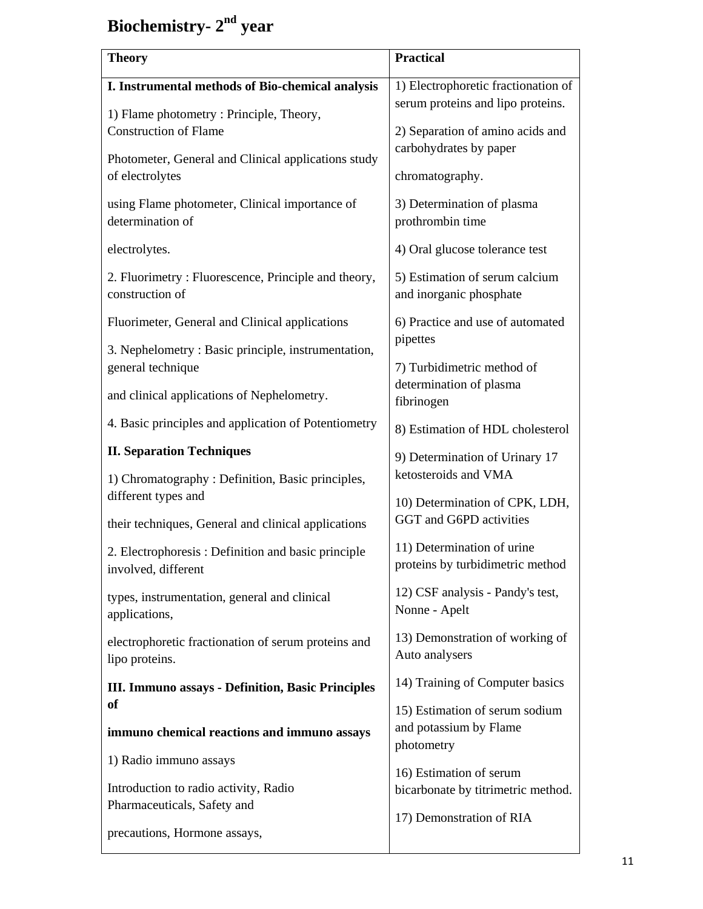## **Biochemistry- 2nd year**

| <b>Theory</b>                                                             | <b>Practical</b>                                                         |  |  |
|---------------------------------------------------------------------------|--------------------------------------------------------------------------|--|--|
| I. Instrumental methods of Bio-chemical analysis                          | 1) Electrophoretic fractionation of<br>serum proteins and lipo proteins. |  |  |
| 1) Flame photometry: Principle, Theory,<br><b>Construction of Flame</b>   | 2) Separation of amino acids and                                         |  |  |
| Photometer, General and Clinical applications study<br>of electrolytes    | carbohydrates by paper<br>chromatography.                                |  |  |
| using Flame photometer, Clinical importance of<br>determination of        | 3) Determination of plasma<br>prothrombin time                           |  |  |
| electrolytes.                                                             | 4) Oral glucose tolerance test                                           |  |  |
| 2. Fluorimetry: Fluorescence, Principle and theory,<br>construction of    | 5) Estimation of serum calcium<br>and inorganic phosphate                |  |  |
| Fluorimeter, General and Clinical applications                            | 6) Practice and use of automated<br>pipettes                             |  |  |
| 3. Nephelometry: Basic principle, instrumentation,<br>general technique   | 7) Turbidimetric method of<br>determination of plasma<br>fibrinogen      |  |  |
| and clinical applications of Nephelometry.                                |                                                                          |  |  |
| 4. Basic principles and application of Potentiometry                      | 8) Estimation of HDL cholesterol                                         |  |  |
| <b>II. Separation Techniques</b>                                          | 9) Determination of Urinary 17                                           |  |  |
| 1) Chromatography : Definition, Basic principles,<br>different types and  | ketosteroids and VMA<br>10) Determination of CPK, LDH,                   |  |  |
| their techniques, General and clinical applications                       | GGT and G6PD activities                                                  |  |  |
| 2. Electrophoresis: Definition and basic principle<br>involved, different | 11) Determination of urine<br>proteins by turbidimetric method           |  |  |
| types, instrumentation, general and clinical<br>applications,             | 12) CSF analysis - Pandy's test,<br>Nonne - Apelt                        |  |  |
| electrophoretic fractionation of serum proteins and<br>lipo proteins.     | 13) Demonstration of working of<br>Auto analysers                        |  |  |
| III. Immuno assays - Definition, Basic Principles                         | 14) Training of Computer basics                                          |  |  |
| <b>of</b>                                                                 | 15) Estimation of serum sodium<br>and potassium by Flame                 |  |  |
| immuno chemical reactions and immuno assays                               | photometry                                                               |  |  |
| 1) Radio immuno assays                                                    | 16) Estimation of serum                                                  |  |  |
| Introduction to radio activity, Radio<br>Pharmaceuticals, Safety and      | bicarbonate by titrimetric method.                                       |  |  |
| precautions, Hormone assays,                                              | 17) Demonstration of RIA                                                 |  |  |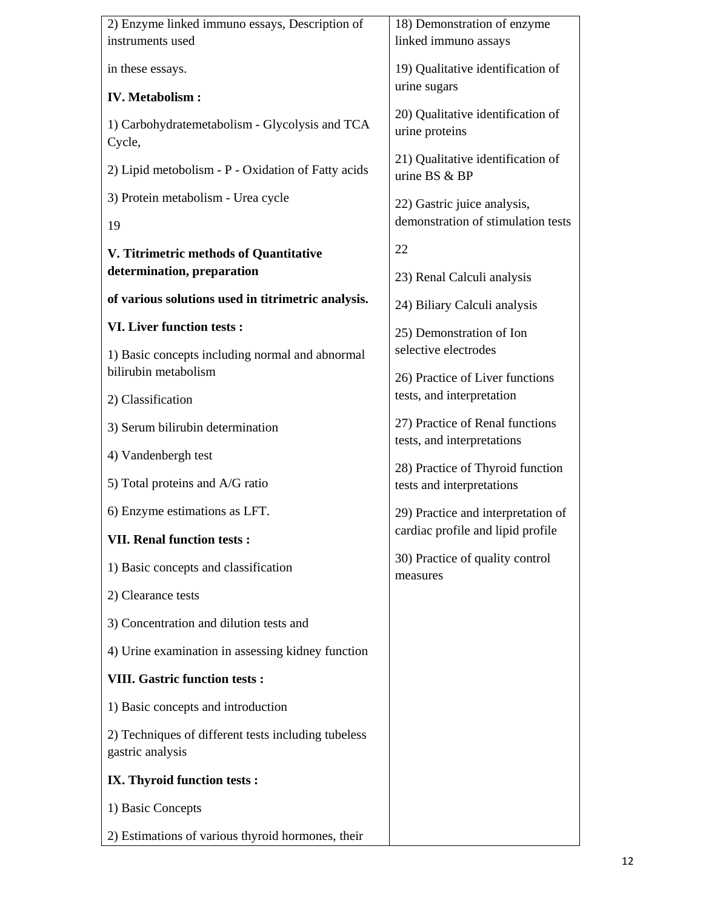| 2) Enzyme linked immuno essays, Description of                          | 18) Demonstration of enzyme                                             |  |  |
|-------------------------------------------------------------------------|-------------------------------------------------------------------------|--|--|
| instruments used                                                        | linked immuno assays                                                    |  |  |
| in these essays.                                                        | 19) Qualitative identification of<br>urine sugars                       |  |  |
| <b>IV.</b> Metabolism :                                                 |                                                                         |  |  |
| 1) Carbohydratemetabolism - Glycolysis and TCA<br>Cycle,                | 20) Qualitative identification of<br>urine proteins                     |  |  |
| 2) Lipid metobolism - P - Oxidation of Fatty acids                      | 21) Qualitative identification of<br>urine BS & BP                      |  |  |
| 3) Protein metabolism - Urea cycle                                      | 22) Gastric juice analysis,<br>demonstration of stimulation tests       |  |  |
| 19                                                                      |                                                                         |  |  |
| V. Titrimetric methods of Quantitative                                  | 22                                                                      |  |  |
| determination, preparation                                              | 23) Renal Calculi analysis                                              |  |  |
| of various solutions used in titrimetric analysis.                      | 24) Biliary Calculi analysis                                            |  |  |
| <b>VI. Liver function tests:</b>                                        | 25) Demonstration of Ion                                                |  |  |
| 1) Basic concepts including normal and abnormal<br>bilirubin metabolism | selective electrodes<br>26) Practice of Liver functions                 |  |  |
| 2) Classification                                                       | tests, and interpretation                                               |  |  |
| 3) Serum bilirubin determination                                        | 27) Practice of Renal functions<br>tests, and interpretations           |  |  |
| 4) Vandenbergh test                                                     |                                                                         |  |  |
| 5) Total proteins and A/G ratio                                         | 28) Practice of Thyroid function<br>tests and interpretations           |  |  |
| 6) Enzyme estimations as LFT.                                           | 29) Practice and interpretation of<br>cardiac profile and lipid profile |  |  |
| <b>VII. Renal function tests:</b>                                       |                                                                         |  |  |
| 1) Basic concepts and classification                                    | 30) Practice of quality control<br>measures                             |  |  |
| 2) Clearance tests                                                      |                                                                         |  |  |
| 3) Concentration and dilution tests and                                 |                                                                         |  |  |
| 4) Urine examination in assessing kidney function                       |                                                                         |  |  |
| <b>VIII. Gastric function tests:</b>                                    |                                                                         |  |  |
| 1) Basic concepts and introduction                                      |                                                                         |  |  |
| 2) Techniques of different tests including tubeless<br>gastric analysis |                                                                         |  |  |
| IX. Thyroid function tests :                                            |                                                                         |  |  |
| 1) Basic Concepts                                                       |                                                                         |  |  |
| 2) Estimations of various thyroid hormones, their                       |                                                                         |  |  |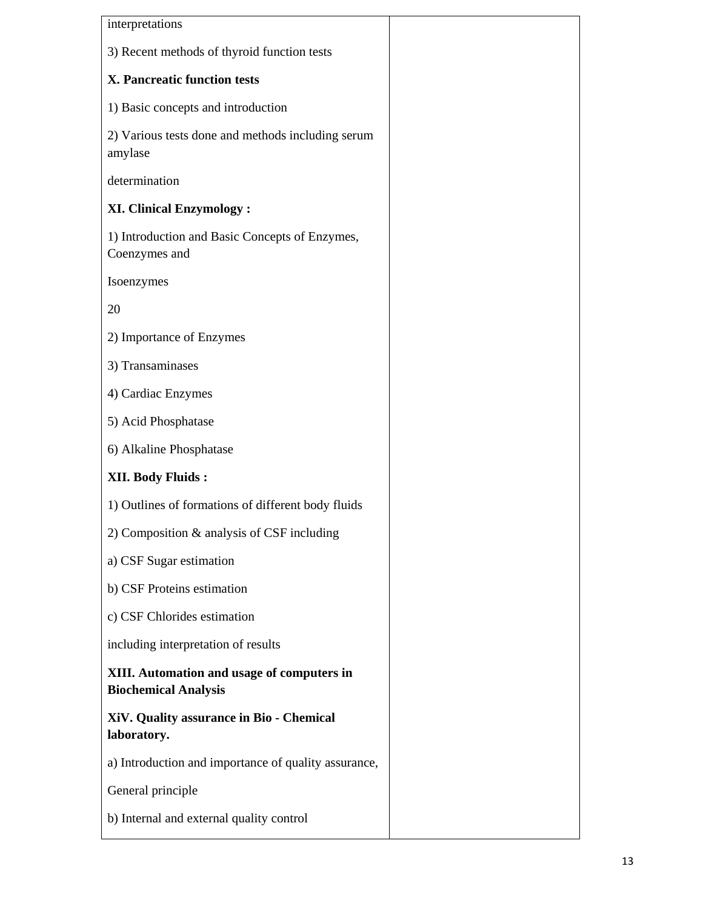| interpretations                                                           |
|---------------------------------------------------------------------------|
| 3) Recent methods of thyroid function tests                               |
| X. Pancreatic function tests                                              |
| 1) Basic concepts and introduction                                        |
| 2) Various tests done and methods including serum<br>amylase              |
| determination                                                             |
| <b>XI. Clinical Enzymology:</b>                                           |
| 1) Introduction and Basic Concepts of Enzymes,<br>Coenzymes and           |
| Isoenzymes                                                                |
| 20                                                                        |
| 2) Importance of Enzymes                                                  |
| 3) Transaminases                                                          |
| 4) Cardiac Enzymes                                                        |
| 5) Acid Phosphatase                                                       |
| 6) Alkaline Phosphatase                                                   |
| <b>XII. Body Fluids:</b>                                                  |
| 1) Outlines of formations of different body fluids                        |
| 2) Composition & analysis of CSF including                                |
| a) CSF Sugar estimation                                                   |
| b) CSF Proteins estimation                                                |
| c) CSF Chlorides estimation                                               |
| including interpretation of results                                       |
| XIII. Automation and usage of computers in<br><b>Biochemical Analysis</b> |
| XiV. Quality assurance in Bio - Chemical<br>laboratory.                   |
| a) Introduction and importance of quality assurance,                      |
| General principle                                                         |
| b) Internal and external quality control                                  |
|                                                                           |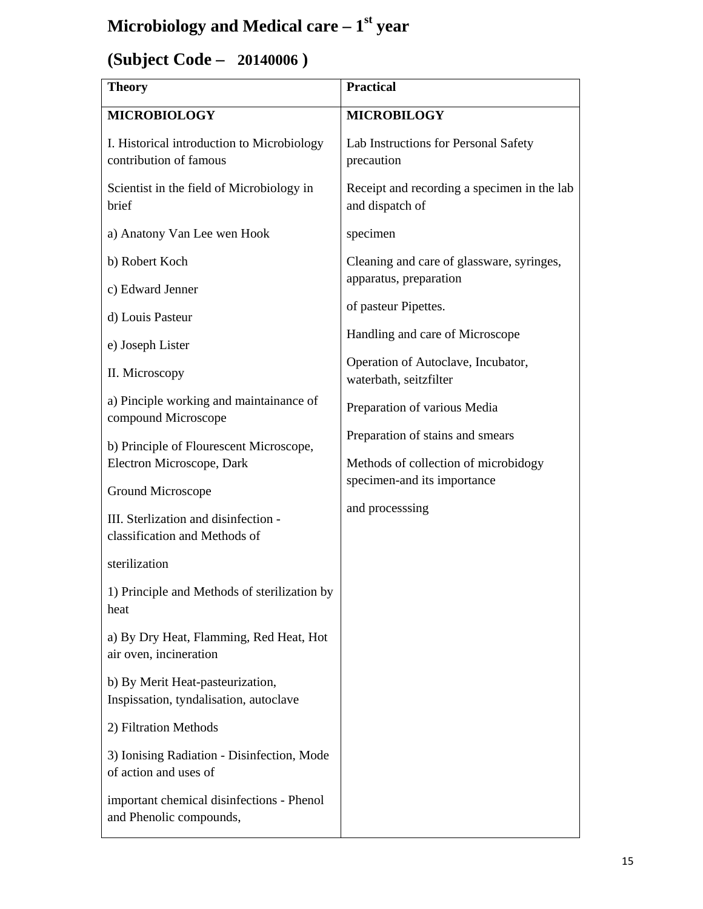## **Microbiology and Medical care – 1st year**

## **(Subject Code – 20140006 )**

| <b>Theory</b>                                                              | <b>Practical</b>                                                    |
|----------------------------------------------------------------------------|---------------------------------------------------------------------|
| <b>MICROBIOLOGY</b>                                                        | <b>MICROBILOGY</b>                                                  |
| I. Historical introduction to Microbiology<br>contribution of famous       | Lab Instructions for Personal Safety<br>precaution                  |
| Scientist in the field of Microbiology in<br>brief                         | Receipt and recording a specimen in the lab<br>and dispatch of      |
| a) Anatony Van Lee wen Hook                                                | specimen                                                            |
| b) Robert Koch                                                             | Cleaning and care of glassware, syringes,                           |
| c) Edward Jenner                                                           | apparatus, preparation                                              |
| d) Louis Pasteur                                                           | of pasteur Pipettes.                                                |
| e) Joseph Lister                                                           | Handling and care of Microscope                                     |
| II. Microscopy                                                             | Operation of Autoclave, Incubator,<br>waterbath, seitzfilter        |
| a) Pinciple working and maintainance of<br>compound Microscope             | Preparation of various Media                                        |
| b) Principle of Flourescent Microscope,                                    | Preparation of stains and smears                                    |
| Electron Microscope, Dark                                                  | Methods of collection of microbidogy<br>specimen-and its importance |
| Ground Microscope                                                          | and processsing                                                     |
| III. Sterlization and disinfection -<br>classification and Methods of      |                                                                     |
| sterilization                                                              |                                                                     |
| 1) Principle and Methods of sterilization by<br>heat                       |                                                                     |
| a) By Dry Heat, Flamming, Red Heat, Hot<br>air oven, incineration          |                                                                     |
| b) By Merit Heat-pasteurization,<br>Inspissation, tyndalisation, autoclave |                                                                     |
| 2) Filtration Methods                                                      |                                                                     |
| 3) Ionising Radiation - Disinfection, Mode<br>of action and uses of        |                                                                     |
| important chemical disinfections - Phenol<br>and Phenolic compounds,       |                                                                     |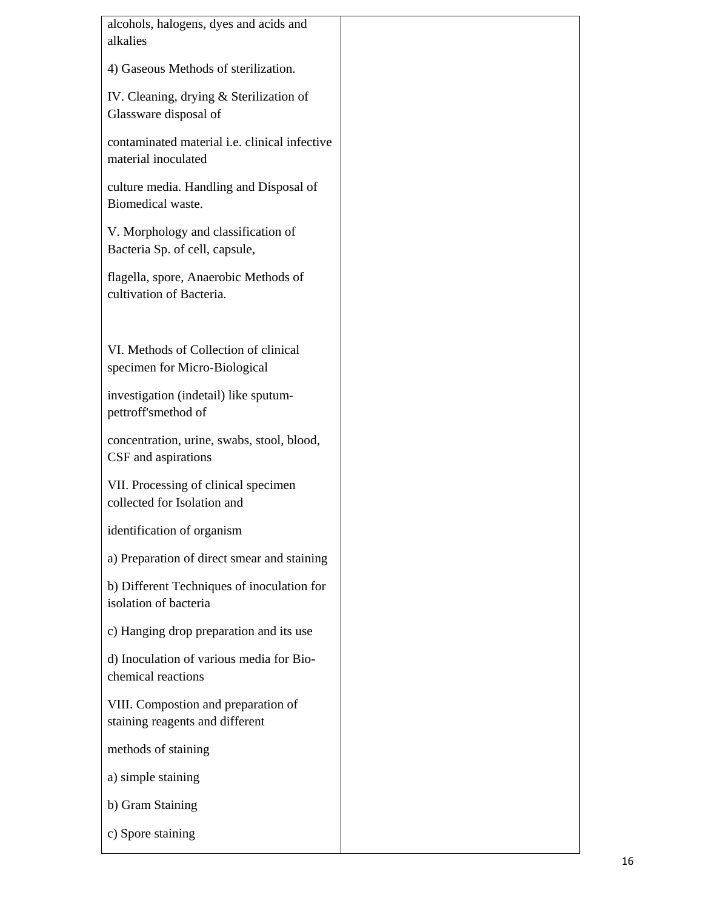| alcohols, halogens, dyes and acids and<br>alkalies                     |  |
|------------------------------------------------------------------------|--|
| 4) Gaseous Methods of sterilization.                                   |  |
| IV. Cleaning, drying & Sterilization of<br>Glassware disposal of       |  |
| contaminated material i.e. clinical infective<br>material inoculated   |  |
| culture media. Handling and Disposal of<br>Biomedical waste.           |  |
| V. Morphology and classification of<br>Bacteria Sp. of cell, capsule,  |  |
| flagella, spore, Anaerobic Methods of<br>cultivation of Bacteria.      |  |
| VI. Methods of Collection of clinical<br>specimen for Micro-Biological |  |
| investigation (indetail) like sputum-<br>pettroff'smethod of           |  |
| concentration, urine, swabs, stool, blood,<br>CSF and aspirations      |  |
| VII. Processing of clinical specimen<br>collected for Isolation and    |  |
| identification of organism                                             |  |
| a) Preparation of direct smear and staining                            |  |
| b) Different Techniques of inoculation for<br>isolation of bacteria    |  |
| c) Hanging drop preparation and its use                                |  |
| d) Inoculation of various media for Bio-<br>chemical reactions         |  |
| VIII. Compostion and preparation of<br>staining reagents and different |  |
| methods of staining                                                    |  |
| a) simple staining                                                     |  |
| b) Gram Staining                                                       |  |
| c) Spore staining                                                      |  |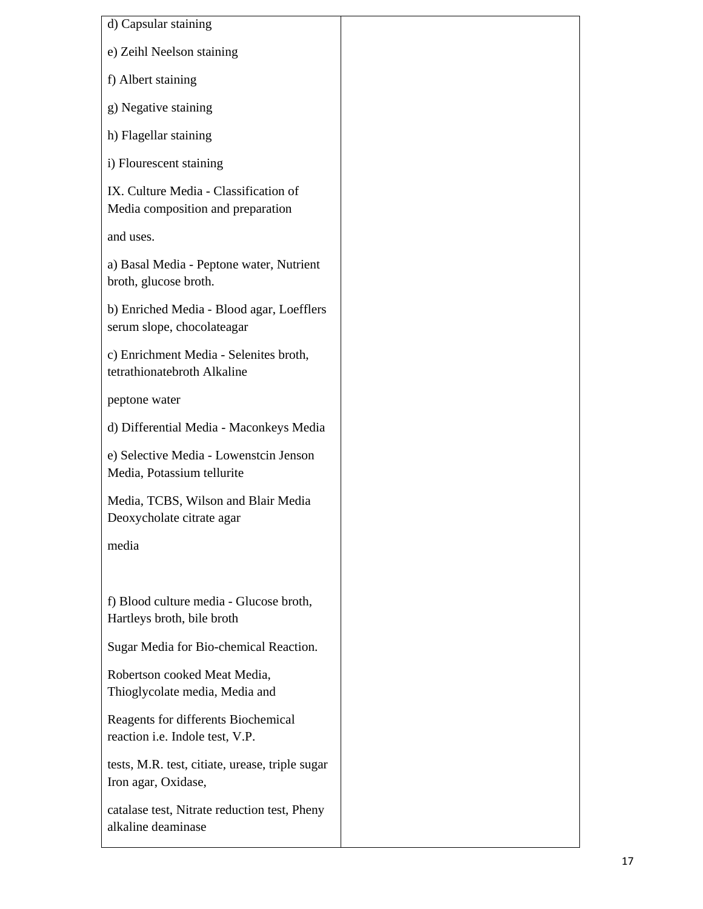| d) Capsular staining                                                       |  |  |
|----------------------------------------------------------------------------|--|--|
| e) Zeihl Neelson staining                                                  |  |  |
| f) Albert staining                                                         |  |  |
| g) Negative staining                                                       |  |  |
| h) Flagellar staining                                                      |  |  |
| i) Flourescent staining                                                    |  |  |
| IX. Culture Media - Classification of<br>Media composition and preparation |  |  |
| and uses.                                                                  |  |  |
| a) Basal Media - Peptone water, Nutrient<br>broth, glucose broth.          |  |  |
| b) Enriched Media - Blood agar, Loefflers<br>serum slope, chocolateagar    |  |  |
| c) Enrichment Media - Selenites broth,<br>tetrathionatebroth Alkaline      |  |  |
| peptone water                                                              |  |  |
| d) Differential Media - Maconkeys Media                                    |  |  |
| e) Selective Media - Lowenstcin Jenson<br>Media, Potassium tellurite       |  |  |
| Media, TCBS, Wilson and Blair Media<br>Deoxycholate citrate agar           |  |  |
| media                                                                      |  |  |
|                                                                            |  |  |
| f) Blood culture media - Glucose broth,<br>Hartleys broth, bile broth      |  |  |
| Sugar Media for Bio-chemical Reaction.                                     |  |  |
| Robertson cooked Meat Media,<br>Thioglycolate media, Media and             |  |  |
| Reagents for differents Biochemical<br>reaction i.e. Indole test, V.P.     |  |  |
| tests, M.R. test, citiate, urease, triple sugar<br>Iron agar, Oxidase,     |  |  |
| catalase test, Nitrate reduction test, Pheny<br>alkaline deaminase         |  |  |
|                                                                            |  |  |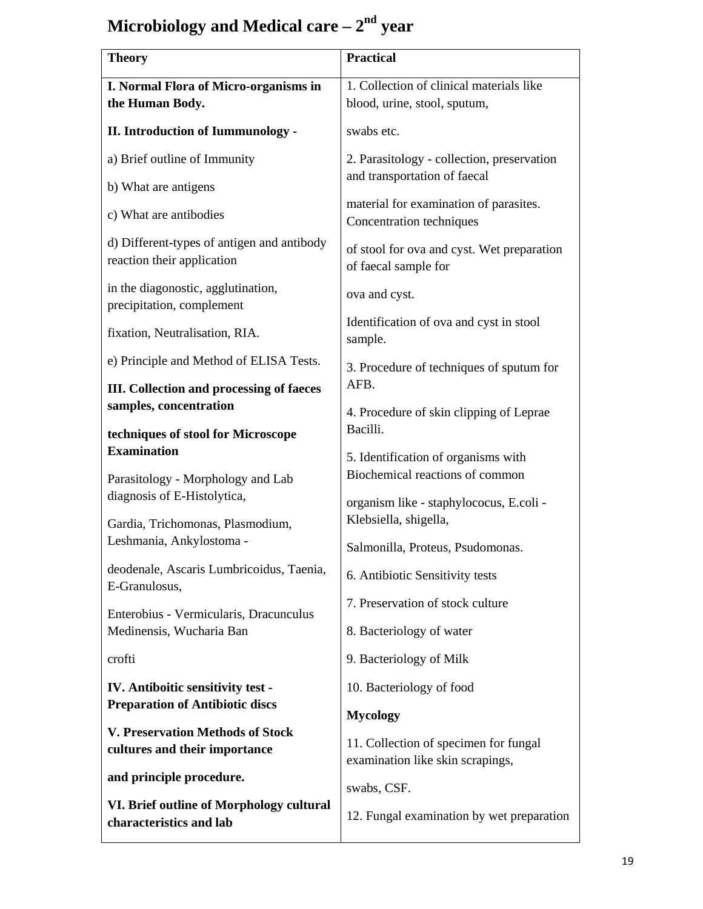# Microbiology and Medical care –  $2<sup>nd</sup>$  year

| <b>Theory</b>                                                            | <b>Practical</b>                                                           |
|--------------------------------------------------------------------------|----------------------------------------------------------------------------|
| I. Normal Flora of Micro-organisms in                                    | 1. Collection of clinical materials like                                   |
| the Human Body.                                                          | blood, urine, stool, sputum,                                               |
| <b>II. Introduction of Iummunology -</b>                                 | swabs etc.                                                                 |
| a) Brief outline of Immunity                                             | 2. Parasitology - collection, preservation<br>and transportation of faecal |
| b) What are antigens                                                     |                                                                            |
| c) What are antibodies                                                   | material for examination of parasites.<br>Concentration techniques         |
| d) Different-types of antigen and antibody<br>reaction their application | of stool for ova and cyst. Wet preparation<br>of faecal sample for         |
| in the diagonostic, agglutination,<br>precipitation, complement          | ova and cyst.                                                              |
| fixation, Neutralisation, RIA.                                           | Identification of ova and cyst in stool<br>sample.                         |
| e) Principle and Method of ELISA Tests.                                  | 3. Procedure of techniques of sputum for                                   |
| <b>III.</b> Collection and processing of faeces                          | AFB.                                                                       |
| samples, concentration                                                   | 4. Procedure of skin clipping of Leprae                                    |
| techniques of stool for Microscope                                       | Bacilli.                                                                   |
| <b>Examination</b>                                                       | 5. Identification of organisms with                                        |
| Parasitology - Morphology and Lab<br>diagnosis of E-Histolytica,         | Biochemical reactions of common                                            |
|                                                                          | organism like - staphylococus, E.coli -                                    |
| Gardia, Trichomonas, Plasmodium,                                         | Klebsiella, shigella,                                                      |
| Leshmania, Ankylostoma -                                                 | Salmonilla, Proteus, Psudomonas.                                           |
| deodenale, Ascaris Lumbricoidus, Taenia,                                 |                                                                            |
| E-Granulosus,                                                            | 6. Antibiotic Sensitivity tests                                            |
| Enterobius - Vermicularis, Dracunculus                                   | 7. Preservation of stock culture                                           |
| Medinensis, Wucharia Ban                                                 | 8. Bacteriology of water                                                   |
| crofti                                                                   | 9. Bacteriology of Milk                                                    |
| IV. Antiboitic sensitivity test -                                        | 10. Bacteriology of food                                                   |
| <b>Preparation of Antibiotic discs</b>                                   | <b>Mycology</b>                                                            |
| <b>V. Preservation Methods of Stock</b><br>cultures and their importance | 11. Collection of specimen for fungal<br>examination like skin scrapings,  |
| and principle procedure.                                                 | swabs, CSF.                                                                |
| VI. Brief outline of Morphology cultural<br>characteristics and lab      | 12. Fungal examination by wet preparation                                  |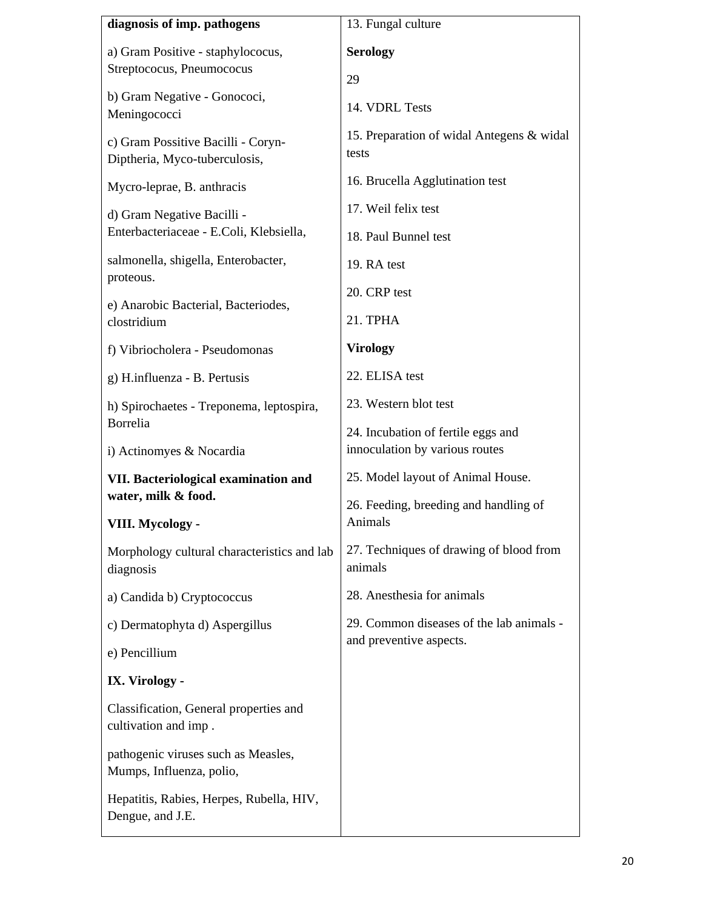| diagnosis of imp. pathogens                                         | 13. Fungal culture                                                   |  |
|---------------------------------------------------------------------|----------------------------------------------------------------------|--|
| a) Gram Positive - staphylococus,<br>Streptococus, Pneumococus      | <b>Serology</b>                                                      |  |
| b) Gram Negative - Gonococi,<br>Meningococci                        | 29<br>14. VDRL Tests                                                 |  |
| c) Gram Possitive Bacilli - Coryn-<br>Diptheria, Myco-tuberculosis, | 15. Preparation of widal Antegens & widal<br>tests                   |  |
| Mycro-leprae, B. anthracis                                          | 16. Brucella Agglutination test                                      |  |
| d) Gram Negative Bacilli -                                          | 17. Weil felix test                                                  |  |
| Enterbacteriaceae - E.Coli, Klebsiella,                             | 18. Paul Bunnel test                                                 |  |
| salmonella, shigella, Enterobacter,<br>proteous.                    | 19. RA test                                                          |  |
| e) Anarobic Bacterial, Bacteriodes,<br>clostridium                  | 20. CRP test                                                         |  |
|                                                                     | 21. TPHA                                                             |  |
| f) Vibriocholera - Pseudomonas                                      | <b>Virology</b>                                                      |  |
| g) H.influenza - B. Pertusis                                        | 22. ELISA test                                                       |  |
| h) Spirochaetes - Treponema, leptospira,                            | 23. Western blot test                                                |  |
| Borrelia<br>i) Actinomyes & Nocardia                                | 24. Incubation of fertile eggs and<br>innoculation by various routes |  |
| VII. Bacteriological examination and                                | 25. Model layout of Animal House.                                    |  |
| water, milk & food.                                                 | 26. Feeding, breeding and handling of                                |  |
| VIII. Mycology -                                                    | Animals                                                              |  |
| Morphology cultural characteristics and lab<br>diagnosis            | 27. Techniques of drawing of blood from<br>animals                   |  |
| a) Candida b) Cryptococcus                                          | 28. Anesthesia for animals                                           |  |
| c) Dermatophyta d) Aspergillus                                      | 29. Common diseases of the lab animals -                             |  |
| e) Pencillium                                                       | and preventive aspects.                                              |  |
| IX. Virology -                                                      |                                                                      |  |
| Classification, General properties and<br>cultivation and imp.      |                                                                      |  |
| pathogenic viruses such as Measles,<br>Mumps, Influenza, polio,     |                                                                      |  |
| Hepatitis, Rabies, Herpes, Rubella, HIV,<br>Dengue, and J.E.        |                                                                      |  |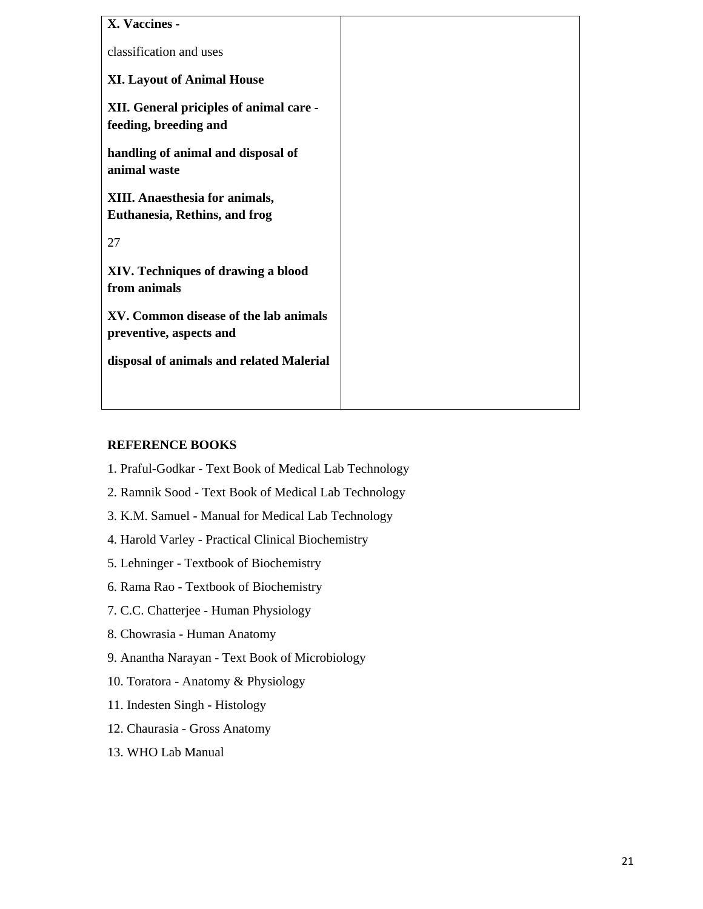| X. Vaccines -                                                          |  |
|------------------------------------------------------------------------|--|
| classification and uses                                                |  |
| <b>XI. Layout of Animal House</b>                                      |  |
| XII. General priciples of animal care -<br>feeding, breeding and       |  |
| handling of animal and disposal of<br>animal waste                     |  |
| XIII. Anaesthesia for animals,<br><b>Euthanesia, Rethins, and frog</b> |  |
| 27                                                                     |  |
| XIV. Techniques of drawing a blood<br>from animals                     |  |
| XV. Common disease of the lab animals<br>preventive, aspects and       |  |
| disposal of animals and related Malerial                               |  |
|                                                                        |  |

### **REFERENCE BOOKS**

- 1. Praful-Godkar Text Book of Medical Lab Technology
- 2. Ramnik Sood Text Book of Medical Lab Technology
- 3. K.M. Samuel Manual for Medical Lab Technology
- 4. Harold Varley Practical Clinical Biochemistry
- 5. Lehninger Textbook of Biochemistry
- 6. Rama Rao Textbook of Biochemistry
- 7. C.C. Chatterjee Human Physiology
- 8. Chowrasia Human Anatomy
- 9. Anantha Narayan Text Book of Microbiology
- 10. Toratora Anatomy & Physiology
- 11. Indesten Singh Histology
- 12. Chaurasia Gross Anatomy
- 13. WHO Lab Manual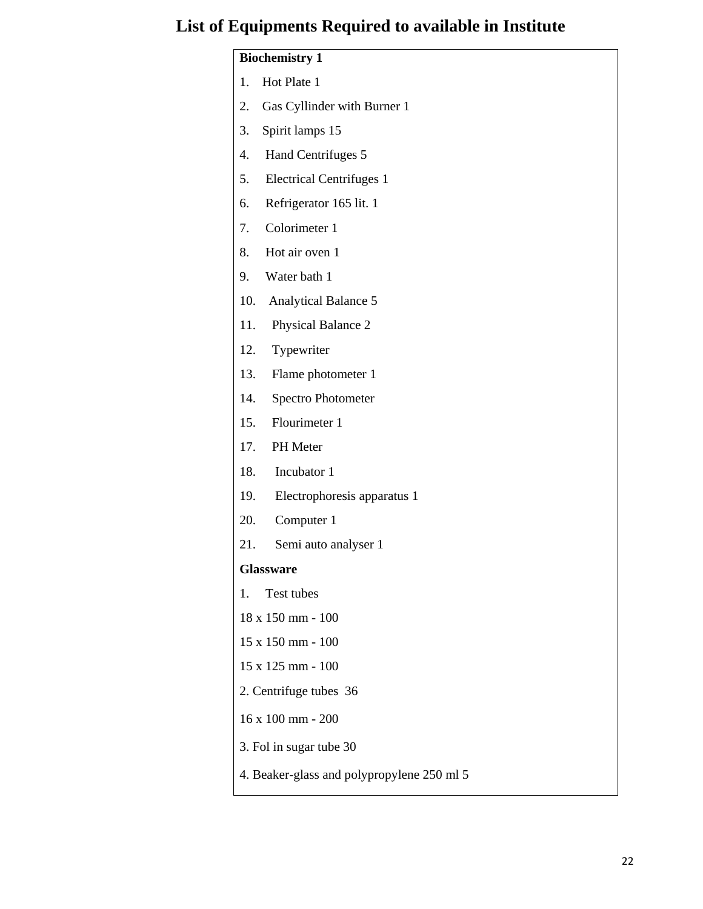## **List of Equipments Required to available in Institute**

## **Biochemistry 1**  1. Hot Plate 1 2. Gas Cyllinder with Burner 1 3. Spirit lamps 15 4. Hand Centrifuges 5 5. Electrical Centrifuges 1 6. Refrigerator 165 lit. 1 7. Colorimeter 1 8. Hot air oven 1 9. Water bath 1 10. Analytical Balance 5 11. Physical Balance 2 12. Typewriter 13. Flame photometer 1 14. Spectro Photometer 15. Flourimeter 1 17. PH Meter 18. Incubator 1 19. Electrophoresis apparatus 1 20. Computer 1 21. Semi auto analyser 1 **Glassware**  1. Test tubes 18 x 150 mm - 100 15 x 150 mm - 100 15 x 125 mm - 100 2. Centrifuge tubes 36 16 x 100 mm - 200 3. Fol in sugar tube 30

4. Beaker-glass and polypropylene 250 ml 5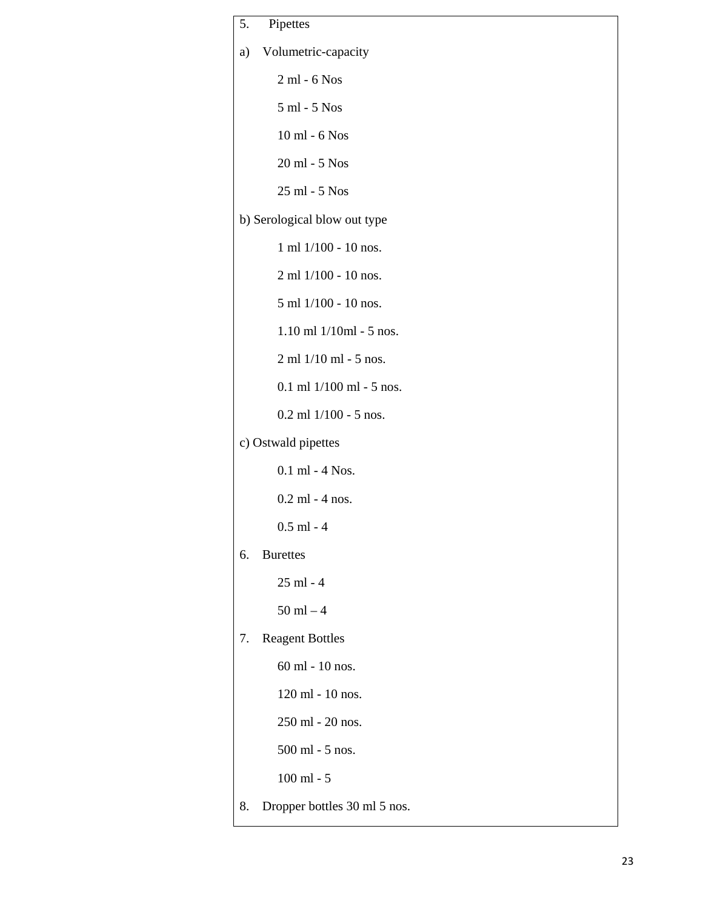| 5. | Pipettes                     |
|----|------------------------------|
| a) | Volumetric-capacity          |
|    | 2 ml - 6 Nos                 |
|    | 5 ml - 5 Nos                 |
|    | 10 ml - 6 Nos                |
|    | 20 ml - 5 Nos                |
|    | 25 ml - 5 Nos                |
|    | b) Serological blow out type |
|    | 1 ml 1/100 - 10 nos.         |
|    | 2 ml 1/100 - 10 nos.         |
|    | 5 ml 1/100 - 10 nos.         |
|    | $1.10$ ml $1/10$ ml - 5 nos. |
|    | 2 ml 1/10 ml - 5 nos.        |
|    | $0.1$ ml $1/100$ ml - 5 nos. |
|    | $0.2$ ml $1/100$ - 5 nos.    |
|    | c) Ostwald pipettes          |
|    | $0.1$ ml - 4 Nos.            |
|    | $0.2$ ml - 4 nos.            |
|    | $0.5$ ml - 4                 |
| 6. | <b>Burettes</b>              |
|    | 25 ml - 4                    |
|    | $50$ ml $-4$                 |
| 7. | <b>Reagent Bottles</b>       |
|    | 60 ml - 10 nos.              |
|    | 120 ml - 10 nos.             |
|    | 250 ml - 20 nos.             |
|    | 500 ml - 5 nos.              |
|    | $100$ ml - $5$               |
| 8. | Dropper bottles 30 ml 5 nos. |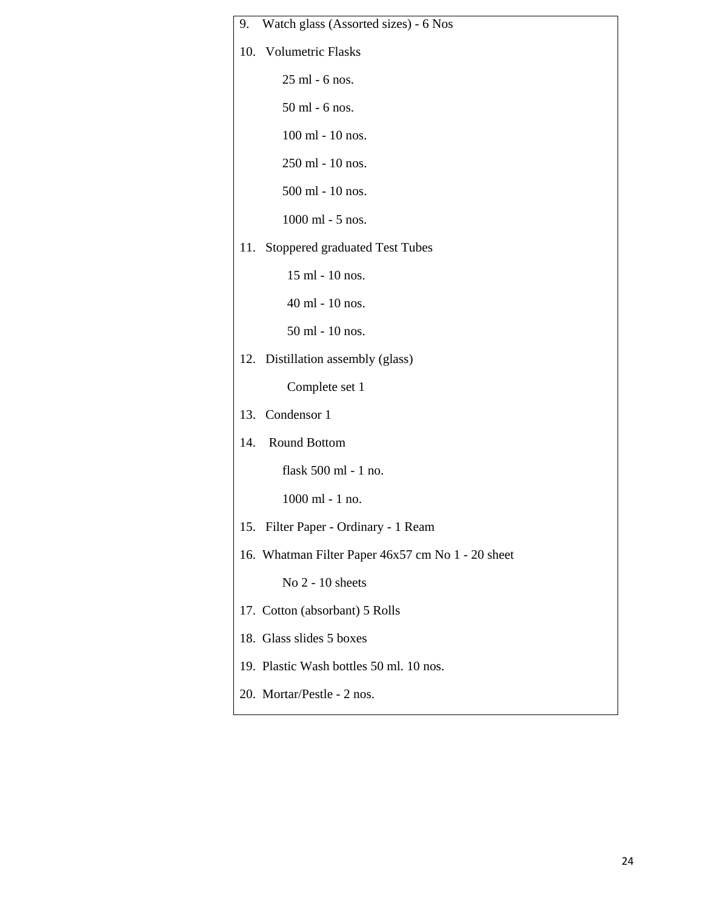| 9. Watch glass (Assorted sizes) - 6 Nos           |
|---------------------------------------------------|
| 10. Volumetric Flasks                             |
| 25 ml - 6 nos.                                    |
| 50 ml - 6 nos.                                    |
| 100 ml - 10 nos.                                  |
| 250 ml - 10 nos.                                  |
| 500 ml - 10 nos.                                  |
| 1000 ml - 5 nos.                                  |
| 11. Stoppered graduated Test Tubes                |
| 15 ml - 10 nos.                                   |
| 40 ml - 10 nos.                                   |
| 50 ml - 10 nos.                                   |
| 12. Distillation assembly (glass)                 |
| Complete set 1                                    |
| 13. Condensor 1                                   |
| 14. Round Bottom                                  |
| flask 500 ml - 1 no.                              |
| 1000 ml - 1 no.                                   |
| 15. Filter Paper - Ordinary - 1 Ream              |
| 16. Whatman Filter Paper 46x57 cm No 1 - 20 sheet |
| No 2 - 10 sheets                                  |
| 17. Cotton (absorbant) 5 Rolls                    |
| 18. Glass slides 5 boxes                          |
| 19. Plastic Wash bottles 50 ml. 10 nos.           |
| 20. Mortar/Pestle - 2 nos.                        |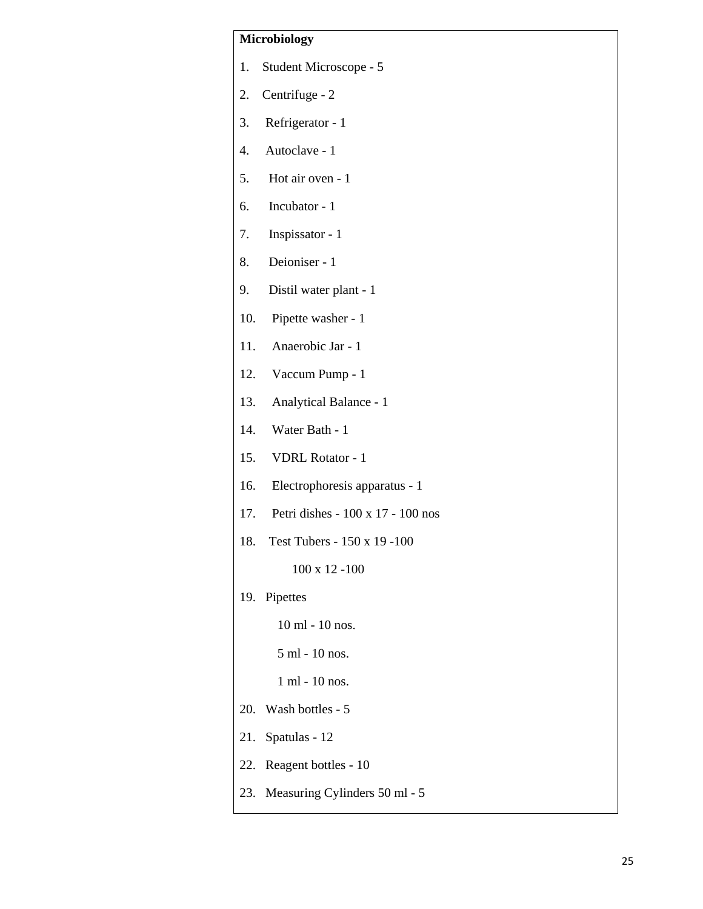### **Microbiology**

- 1. Student Microscope 5
- 2. Centrifuge 2
- 3. Refrigerator 1
- 4. Autoclave 1
- 5. Hot air oven 1
- 6. Incubator 1
- 7. Inspissator 1
- 8. Deioniser 1
- 9. Distil water plant 1
- 10. Pipette washer 1
- 11. Anaerobic Jar 1
- 12. Vaccum Pump 1
- 13. Analytical Balance 1
- 14. Water Bath 1
- 15. VDRL Rotator 1
- 16. Electrophoresis apparatus 1
- 17. Petri dishes 100 x 17 100 nos
- 18. Test Tubers 150 x 19 -100

100 x 12 -100

19. Pipettes

10 ml - 10 nos.

5 ml - 10 nos.

1 ml - 10 nos.

- 20. Wash bottles 5
- 21. Spatulas 12
- 22. Reagent bottles 10
- 23. Measuring Cylinders 50 ml 5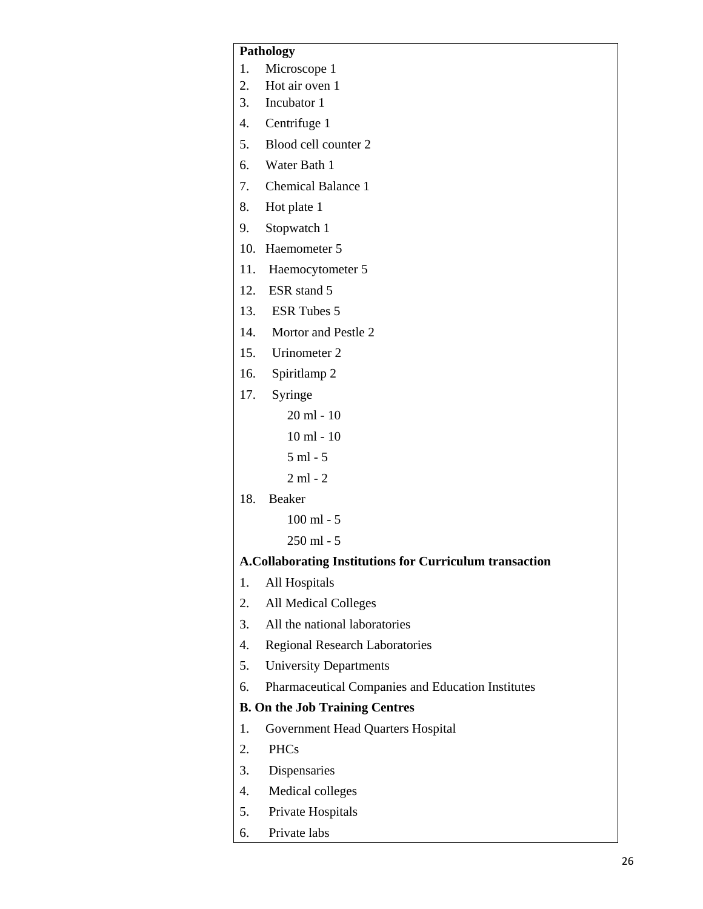#### **Pathology**

- 1. Microscope 1
- 2. Hot air oven 1
- 3. Incubator 1
- 4. Centrifuge 1
- 5. Blood cell counter 2
- 6. Water Bath 1
- 7. Chemical Balance 1
- 8. Hot plate 1
- 9. Stopwatch 1
- 10. Haemometer 5
- 11. Haemocytometer 5
- 12. ESR stand 5
- 13. ESR Tubes 5
- 14. Mortor and Pestle 2
- 15. Urinometer 2
- 16. Spiritlamp 2
- 17. Syringe
	- 20 ml 10
	- 10 ml 10
	- 5 ml 5
	- 2 ml 2
- 18. Beaker
	- 100 ml 5
	- 250 ml 5

#### **A.Collaborating Institutions for Curriculum transaction**

- 1. All Hospitals
- 2. All Medical Colleges
- 3. All the national laboratories
- 4. Regional Research Laboratories
- 5. University Departments
- 6. Pharmaceutical Companies and Education Institutes

### **B. On the Job Training Centres**

- 1. Government Head Quarters Hospital
- 2. PHCs
- 3. Dispensaries
- 4. Medical colleges
- 5. Private Hospitals
- 6. Private labs